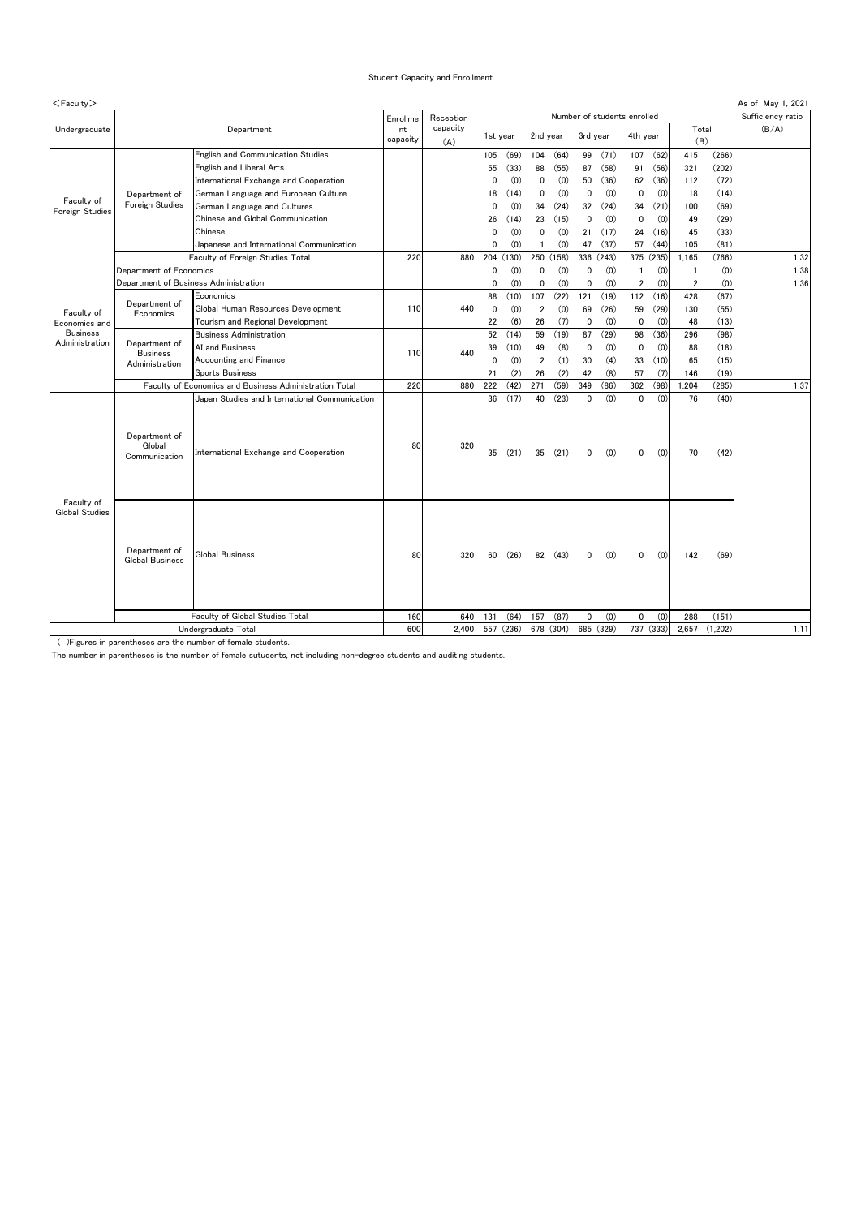( )Figures in parentheses are the number of female students.

| $<$ Faculty $>$                      |                                                        |                                               |                            |                              |                             |           |                  |           | As of May 1, 2021 |          |                |          |                   |       |       |
|--------------------------------------|--------------------------------------------------------|-----------------------------------------------|----------------------------|------------------------------|-----------------------------|-----------|------------------|-----------|-------------------|----------|----------------|----------|-------------------|-------|-------|
| Undergraduate                        | Department                                             |                                               | Enrollme<br>nt<br>capacity | Reception<br>capacity<br>(A) | Number of students enrolled |           |                  |           |                   |          |                |          | Sufficiency ratio |       |       |
|                                      |                                                        |                                               |                            |                              | 1st year                    |           |                  | 2nd year  |                   | 3rd year |                | 4th year |                   | Total | (B/A) |
|                                      |                                                        |                                               |                            |                              |                             |           |                  |           |                   |          |                |          | (B)               |       |       |
| Faculty of<br><b>Foreign Studies</b> | Department of<br>Foreign Studies                       | English and Communication Studies             |                            |                              | 105                         | (69)      | 104              | (64)      | 99                | (71)     | 107            | (62)     | 415               | (266) |       |
|                                      |                                                        | English and Liberal Arts                      |                            |                              | 55                          | (33)      | 88               | (55)      | 87                | (58)     | 91             | (56)     | 321               | (202) |       |
|                                      |                                                        | International Exchange and Cooperation        |                            |                              | 0                           | (0)       | 0                | (0)       | 50                | (36)     | 62             | (36)     | 112               | (72)  |       |
|                                      |                                                        | German Language and European Culture          |                            |                              | 18                          | (14)      | 0                | (0)       | $\bf{0}$          | (0)      | 0              | (0)      | 18                | (14)  |       |
|                                      |                                                        | German Language and Cultures                  |                            |                              | 0                           | (0)       | 34               | (24)      | 32                | (24)     | 34             | (21)     | 100               | (69)  |       |
|                                      |                                                        | Chinese and Global Communication              |                            |                              | 26                          | (14)      | 23               | (15)      | $\bf{0}$          | (0)      | 0              | (0)      | 49                | (29)  |       |
|                                      |                                                        | Chinese                                       |                            |                              | $\boldsymbol{0}$            | (0)       | 0                | (0)       | 21                | (17)     | 24             | (16)     | 45                | (33)  |       |
|                                      |                                                        | Japanese and International Communication      |                            |                              | 0                           | (0)       |                  | (0)       | 47                | (37)     | 57             | (44)     | 105               | (81)  |       |
|                                      | Faculty of Foreign Studies Total                       |                                               | 220                        | 880                          | 204                         | (130)     | 250 (158)        |           | 336               | (243)    | 375            | (235)    | 1,165             | (766) | 1.32  |
|                                      | Department of Economics                                |                                               |                            |                              | $\boldsymbol{0}$            | (0)       | $\mathbf 0$      | (0)       | 0                 | (0)      |                | (0)      |                   | (0)   | 1.38  |
|                                      | Department of Business Administration                  |                                               |                            |                              | 0                           | (0)       | $\bf{0}$         | (0)       | 0                 | (0)      | $\overline{2}$ | (0)      | $\overline{2}$    | (0)   | 1.36  |
|                                      |                                                        | Economics                                     |                            |                              | 88                          | (10)      | 107              | (22)      | 121               | (19)     | 112            | (16)     | 428               | (67)  |       |
| Faculty of                           | Department of<br>Economics                             | Global Human Resources Development            | 110                        | 440                          | $\bf{0}$                    | (0)       | $\overline{2}$   | (0)       | 69                | (26)     | 59             | (29)     | 130               | (55)  |       |
| Economics and                        |                                                        | Tourism and Regional Development              |                            |                              | 22                          | (6)       | 26               | (7)       | $\pmb{0}$         | (0)      | 0              | (0)      | 48                | (13)  |       |
| <b>Business</b>                      | Department of<br><b>Business</b><br>Administration     | <b>Business Administration</b>                |                            |                              | 52                          | (14)      | 59               | (19)      | 87                | (29)     | 98             | (36)     | 296               | (98)  |       |
| Administration                       |                                                        | AI and Business                               | 110                        | 440                          | 39                          | (10)      | 49               | (8)       | 0                 | (0)      | 0              | (0)      | 88                | (18)  |       |
|                                      |                                                        | <b>Accounting and Finance</b>                 |                            |                              | 0                           | (0)       | $\boldsymbol{2}$ | (1)       | 30                | (4)      | 33             | (10)     | 65                | (15)  |       |
|                                      |                                                        | <b>Sports Business</b>                        |                            |                              | 21                          | (2)       | 26               | (2)       | 42                | (8)      | 57             | (7)      | 146               | (19)  |       |
|                                      | Faculty of Economics and Business Administration Total |                                               | 220                        | 880                          | 222                         | (42)      | 271              | (59)      | 349               | (86)     | 362            | (98)     | 1,204             | (285) | 1.37  |
|                                      |                                                        | Japan Studies and International Communication |                            |                              | 36                          | (17)      | 40               | (23)      | $\mathbf 0$       | (0)      | 0              | (0)      | 76                | (40)  |       |
| Faculty of<br><b>Global Studies</b>  | Department of<br>Global<br>Communication               | International Exchange and Cooperation        | 80                         | 320                          | 35                          | (21)      | 35               | (21)      | 0                 | (0)      | 0              | (0)      | 70                | (42)  |       |
|                                      | Department of<br><b>Global Business</b>                | <b>Global Business</b>                        | 80                         | 320                          | 60                          | (26)      | 82               | (43)      | $\mathbf{0}$      | (0)      | $\mathbf 0$    | (0)      | 142               | (69)  |       |
|                                      | Faculty of Global Studies Total                        |                                               | 160                        | 640                          | 131                         | (64)      | 157              | (87)      | $\mathbf 0$       | (0)      | $\mathbf{0}$   | (0)      | 288               | (151) |       |
| Undergraduate Total                  |                                                        | 600                                           | 2,400                      |                              | 557 (236)                   | 678 (304) |                  | 685 (329) |                   |          | 737 (333)      | 2,657    | (1,202)           | 1.11  |       |

The number in parentheses is the number of female sutudents, not including non-degree students and auditing students.

## Student Capacity and Enrollment